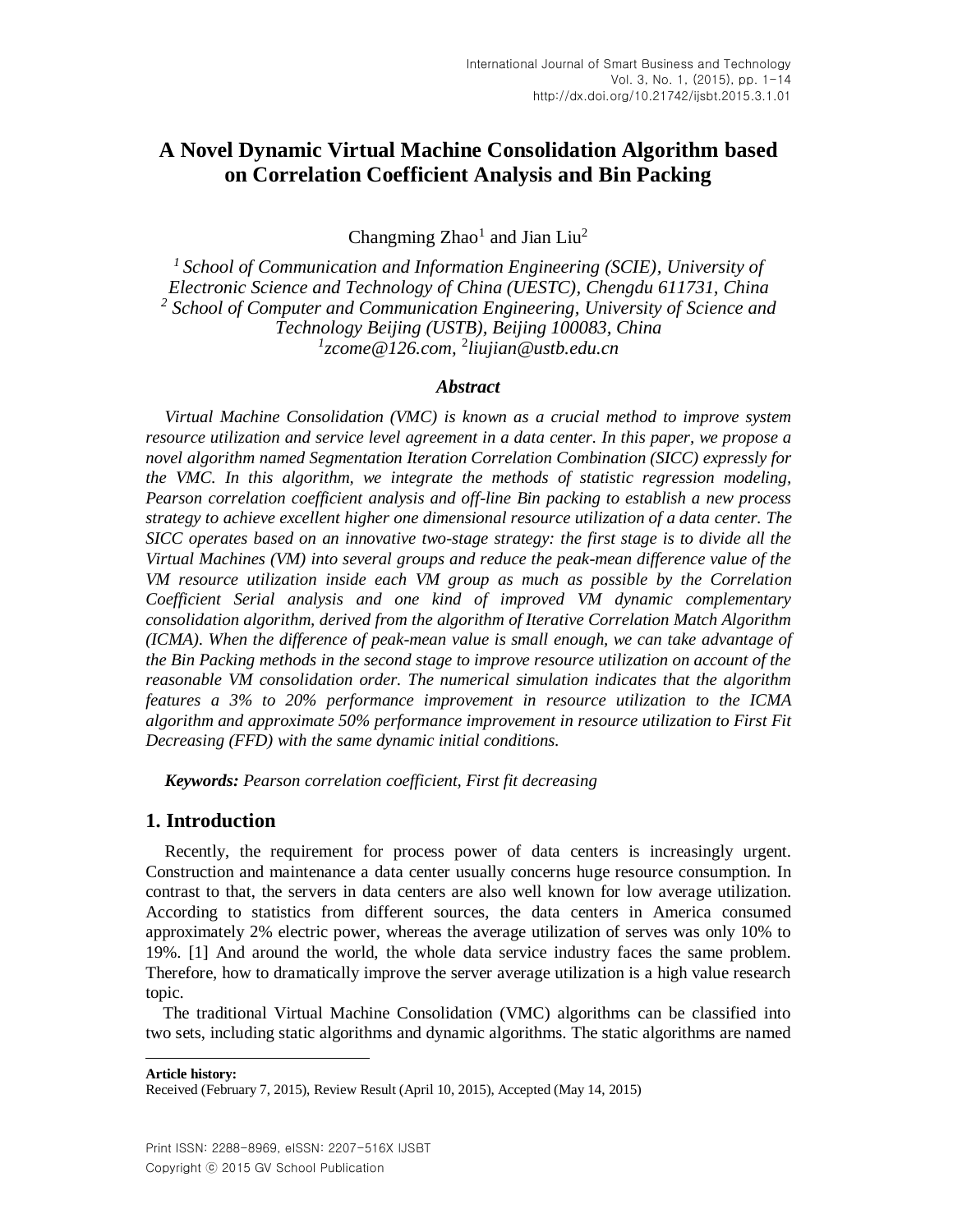Changming  $Zhao<sup>1</sup>$  and Jian Liu<sup>2</sup>

*1 School of Communication and Information Engineering (SCIE), University of Electronic Science and Technology of China (UESTC), Chengdu 611731, China 2 School of Computer and Communication Engineering, University of Science and Technology Beijing (USTB), Beijing 100083, China 1 zcome@126.com,* <sup>2</sup> *liujian@ustb.edu.cn*

## *Abstract*

*Virtual Machine Consolidation (VMC) is known as a crucial method to improve system resource utilization and service level agreement in a data center. In this paper, we propose a novel algorithm named Segmentation Iteration Correlation Combination (SICC) expressly for the VMC. In this algorithm, we integrate the methods of statistic regression modeling, Pearson correlation coefficient analysis and off-line Bin packing to establish a new process strategy to achieve excellent higher one dimensional resource utilization of a data center. The SICC operates based on an innovative two-stage strategy: the first stage is to divide all the Virtual Machines (VM) into several groups and reduce the peak-mean difference value of the VM resource utilization inside each VM group as much as possible by the Correlation Coefficient Serial analysis and one kind of improved VM dynamic complementary consolidation algorithm, derived from the algorithm of Iterative Correlation Match Algorithm (ICMA). When the difference of peak-mean value is small enough, we can take advantage of the Bin Packing methods in the second stage to improve resource utilization on account of the reasonable VM consolidation order. The numerical simulation indicates that the algorithm features a 3% to 20% performance improvement in resource utilization to the ICMA algorithm and approximate 50% performance improvement in resource utilization to First Fit Decreasing (FFD) with the same dynamic initial conditions.*

*Keywords: Pearson correlation coefficient, First fit decreasing*

## **1. Introduction**

Recently, the requirement for process power of data centers is increasingly urgent. Construction and maintenance a data center usually concerns huge resource consumption. In contrast to that, the servers in data centers are also well known for low average utilization. According to statistics from different sources, the data centers in America consumed approximately 2% electric power, whereas the average utilization of serves was only 10% to 19%. [\[1\]](#page-11-0) And around the world, the whole data service industry faces the same problem. Therefore, how to dramatically improve the server average utilization is a high value research topic.

The traditional Virtual Machine Consolidation (VMC) algorithms can be classified into two sets, including static algorithms and dynamic algorithms. The static algorithms are named

**Article history:**

l

Received (February 7, 2015), Review Result (April 10, 2015), Accepted (May 14, 2015)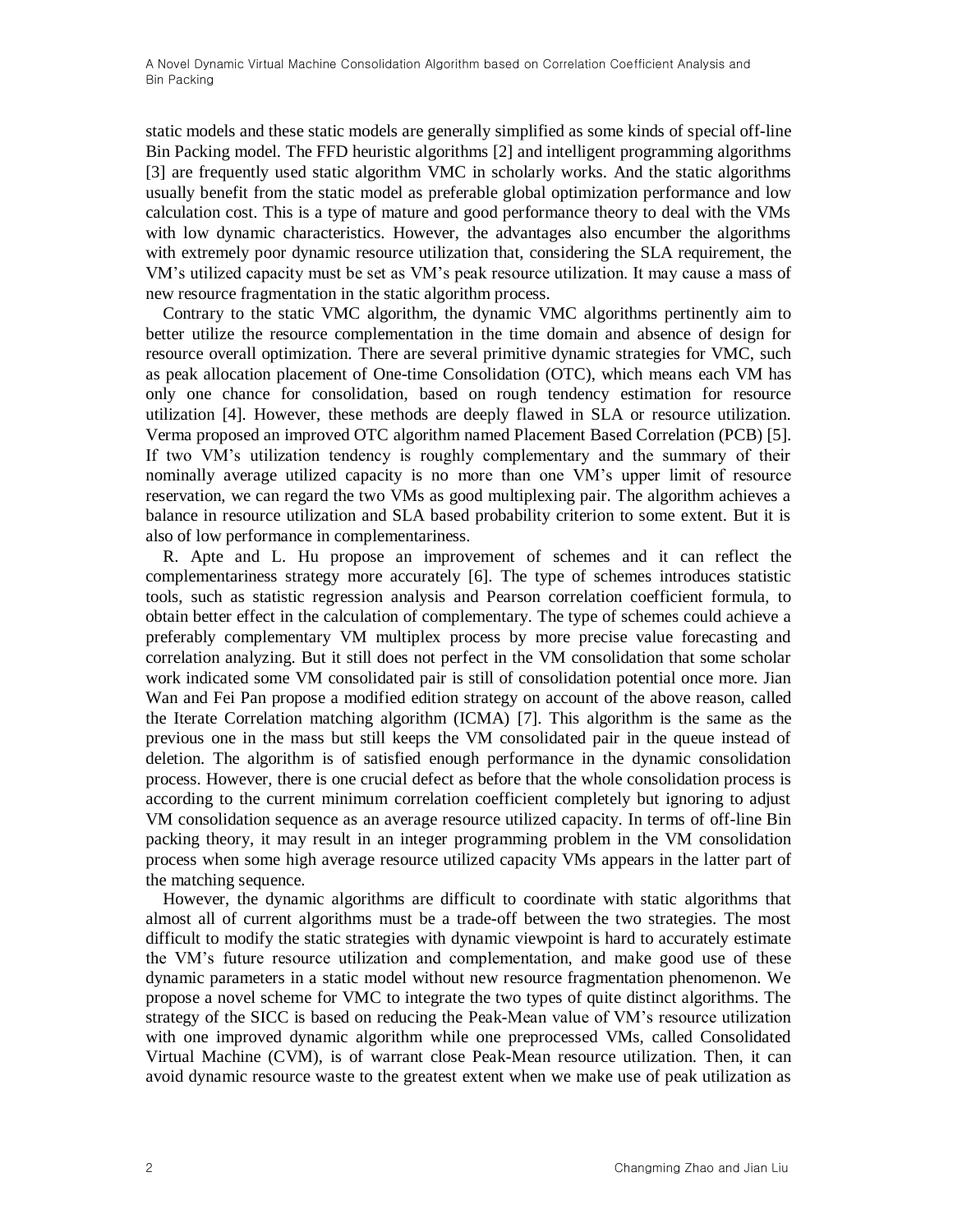static models and these static models are generally simplified as some kinds of special off-line Bin Packing model. The FFD heuristic algorithms [\[2\]](#page-11-1) and intelligent programming algorithms [\[3\]](#page-11-2) are frequently used static algorithm VMC in scholarly works. And the static algorithms usually benefit from the static model as preferable global optimization performance and low calculation cost. This is a type of mature and good performance theory to deal with the VMs with low dynamic characteristics. However, the advantages also encumber the algorithms with extremely poor dynamic resource utilization that, considering the SLA requirement, the VM's utilized capacity must be set as VM's peak resource utilization. It may cause a mass of new resource fragmentation in the static algorithm process.

Contrary to the static VMC algorithm, the dynamic VMC algorithms pertinently aim to better utilize the resource complementation in the time domain and absence of design for resource overall optimization. There are several primitive dynamic strategies for VMC, such as peak allocation placement of One-time Consolidation (OTC), which means each VM has only one chance for consolidation, based on rough tendency estimation for resource utilization [\[4\].](#page-11-3) However, these methods are deeply flawed in SLA or resource utilization. Verma proposed an improved OTC algorithm named Placement Based Correlation (PCB) [\[5\].](#page-11-4) If two VM's utilization tendency is roughly complementary and the summary of their nominally average utilized capacity is no more than one VM's upper limit of resource reservation, we can regard the two VMs as good multiplexing pair. The algorithm achieves a balance in resource utilization and SLA based probability criterion to some extent. But it is also of low performance in complementariness.

R. Apte and L. Hu propose an improvement of schemes and it can reflect the complementariness strategy more accurately [\[6\].](#page-11-5) The type of schemes introduces statistic tools, such as statistic regression analysis and Pearson correlation coefficient formula, to obtain better effect in the calculation of complementary. The type of schemes could achieve a preferably complementary VM multiplex process by more precise value forecasting and correlation analyzing. But it still does not perfect in the VM consolidation that some scholar work indicated some VM consolidated pair is still of consolidation potential once more. Jian Wan and Fei Pan propose a modified edition strategy on account of the above reason, called the Iterate Correlation matching algorithm (ICMA) [\[7\].](#page-11-6) This algorithm is the same as the previous one in the mass but still keeps the VM consolidated pair in the queue instead of deletion. The algorithm is of satisfied enough performance in the dynamic consolidation process. However, there is one crucial defect as before that the whole consolidation process is according to the current minimum correlation coefficient completely but ignoring to adjust VM consolidation sequence as an average resource utilized capacity. In terms of off-line Bin packing theory, it may result in an integer programming problem in the VM consolidation process when some high average resource utilized capacity VMs appears in the latter part of the matching sequence.

However, the dynamic algorithms are difficult to coordinate with static algorithms that almost all of current algorithms must be a trade-off between the two strategies. The most difficult to modify the static strategies with dynamic viewpoint is hard to accurately estimate the VM's future resource utilization and complementation, and make good use of these dynamic parameters in a static model without new resource fragmentation phenomenon. We propose a novel scheme for VMC to integrate the two types of quite distinct algorithms. The strategy of the SICC is based on reducing the Peak-Mean value of VM's resource utilization with one improved dynamic algorithm while one preprocessed VMs, called Consolidated Virtual Machine (CVM), is of warrant close Peak-Mean resource utilization. Then, it can avoid dynamic resource waste to the greatest extent when we make use of peak utilization as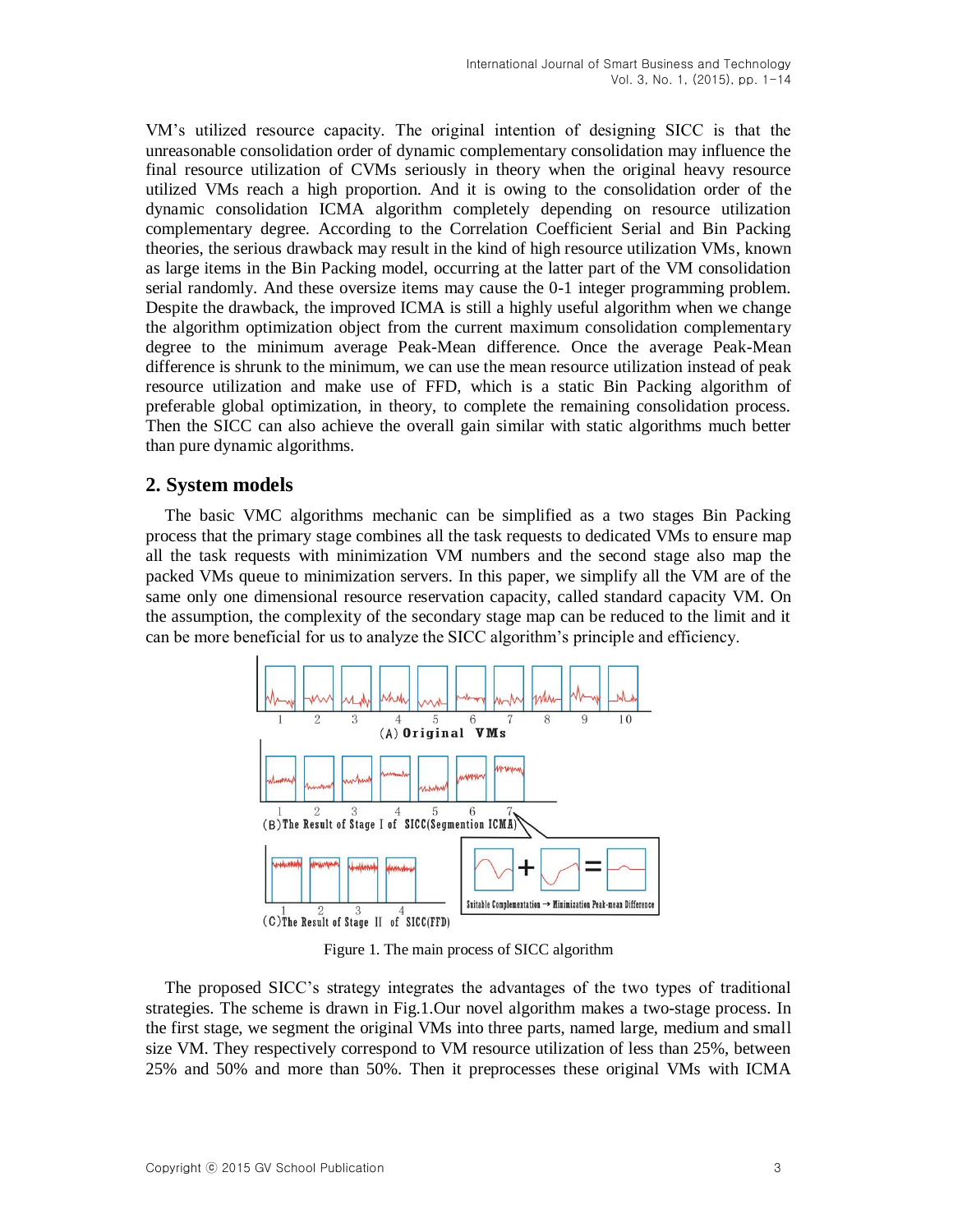VM's utilized resource capacity. The original intention of designing SICC is that the unreasonable consolidation order of dynamic complementary consolidation may influence the final resource utilization of CVMs seriously in theory when the original heavy resource utilized VMs reach a high proportion. And it is owing to the consolidation order of the dynamic consolidation ICMA algorithm completely depending on resource utilization complementary degree. According to the Correlation Coefficient Serial and Bin Packing theories, the serious drawback may result in the kind of high resource utilization VMs, known as large items in the Bin Packing model, occurring at the latter part of the VM consolidation serial randomly. And these oversize items may cause the 0-1 integer programming problem. Despite the drawback, the improved ICMA is still a highly useful algorithm when we change the algorithm optimization object from the current maximum consolidation complementary degree to the minimum average Peak-Mean difference. Once the average Peak-Mean difference is shrunk to the minimum, we can use the mean resource utilization instead of peak resource utilization and make use of FFD, which is a static Bin Packing algorithm of preferable global optimization, in theory, to complete the remaining consolidation process. Then the SICC can also achieve the overall gain similar with static algorithms much better than pure dynamic algorithms.

## **2. System models**

The basic VMC algorithms mechanic can be simplified as a two stages Bin Packing process that the primary stage combines all the task requests to dedicated VMs to ensure map all the task requests with minimization VM numbers and the second stage also map the packed VMs queue to minimization servers. In this paper, we simplify all the VM are of the same only one dimensional resource reservation capacity, called standard capacity VM. On the assumption, the complexity of the secondary stage map can be reduced to the limit and it can be more beneficial for us to analyze the SICC algorithm's principle and efficiency.



Figure 1. The main process of SICC algorithm

The proposed SICC's strategy integrates the advantages of the two types of traditional strategies. The scheme is drawn in Fig.1.Our novel algorithm makes a two-stage process. In the first stage, we segment the original VMs into three parts, named large, medium and small size VM. They respectively correspond to VM resource utilization of less than 25%, between 25% and 50% and more than 50%. Then it preprocesses these original VMs with ICMA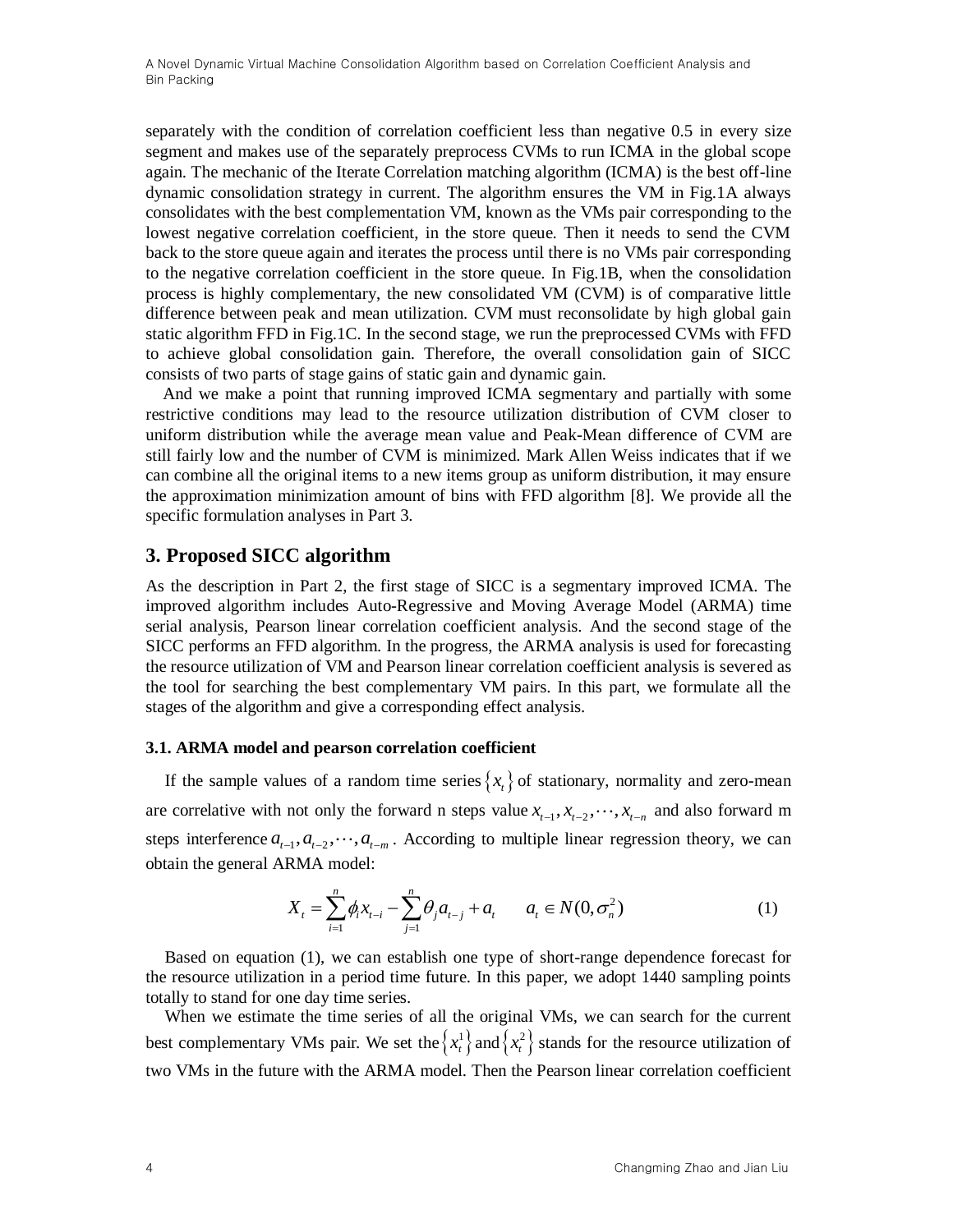separately with the condition of correlation coefficient less than negative 0.5 in every size segment and makes use of the separately preprocess CVMs to run ICMA in the global scope again. The mechanic of the Iterate Correlation matching algorithm (ICMA) is the best off-line dynamic consolidation strategy in current. The algorithm ensures the VM in Fig.1A always consolidates with the best complementation VM, known as the VMs pair corresponding to the lowest negative correlation coefficient, in the store queue. Then it needs to send the CVM back to the store queue again and iterates the process until there is no VMs pair corresponding to the negative correlation coefficient in the store queue. In Fig.1B, when the consolidation process is highly complementary, the new consolidated VM (CVM) is of comparative little difference between peak and mean utilization. CVM must reconsolidate by high global gain static algorithm FFD in Fig.1C. In the second stage, we run the preprocessed CVMs with FFD to achieve global consolidation gain. Therefore, the overall consolidation gain of SICC consists of two parts of stage gains of static gain and dynamic gain.

And we make a point that running improved ICMA segmentary and partially with some restrictive conditions may lead to the resource utilization distribution of CVM closer to uniform distribution while the average mean value and Peak-Mean difference of CVM are still fairly low and the number of CVM is minimized. Mark Allen Weiss indicates that if we can combine all the original items to a new items group as uniform distribution, it may ensure the approximation minimization amount of bins with FFD algorithm [\[8\].](#page-11-7) We provide all the specific formulation analyses in Part 3.

## **3. Proposed SICC algorithm**

As the description in Part 2, the first stage of SICC is a segmentary improved ICMA. The improved algorithm includes Auto-Regressive and Moving Average Model (ARMA) time serial analysis, Pearson linear correlation coefficient analysis. And the second stage of the SICC performs an FFD algorithm. In the progress, the ARMA analysis is used for forecasting the resource utilization of VM and Pearson linear correlation coefficient analysis is severed as the tool for searching the best complementary VM pairs. In this part, we formulate all the stages of the algorithm and give a corresponding effect analysis.

### **3.1. ARMA model and pearson correlation coefficient**

If the sample values of a random time series  $\{x_t\}$  of stationary, normality and zero-mean are correlative with not only the forward n steps value  $x_{t-1}, x_{t-2}, \dots, x_{t-n}$  and also forward m steps interference  $a_{t-1}, a_{t-2}, \dots, a_{t-m}$ . According to multiple linear regression theory, we can obtain the general ARMA model:

$$
X_{t} = \sum_{i=1}^{n} \phi_{i} x_{t-i} - \sum_{j=1}^{n} \theta_{j} a_{t-j} + a_{t} \qquad a_{t} \in N(0, \sigma_{n}^{2})
$$
(1)

Based on equation (1), we can establish one type of short-range dependence forecast for the resource utilization in a period time future. In this paper, we adopt 1440 sampling points totally to stand for one day time series.

When we estimate the time series of all the original VMs, we can search for the current best complementary VMs pair. We set the  $\left\{x_i^1\right\}$  $x_t^1$  and  $\left\{ x_t^2 \right\}$  $x_t^2$  stands for the resource utilization of two VMs in the future with the ARMA model. Then the Pearson linear correlation coefficient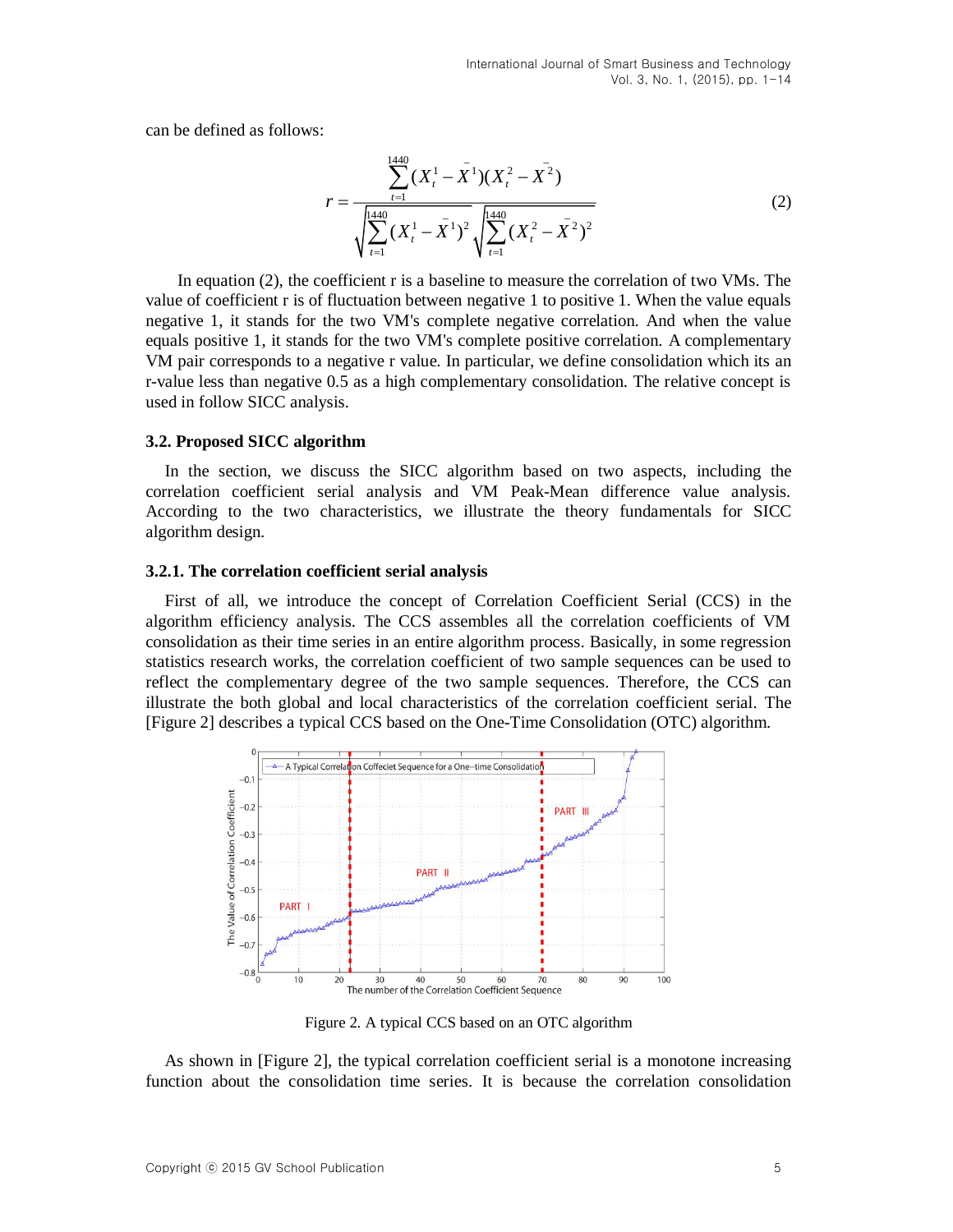can be defined as follows:

$$
r = \frac{\sum_{t=1}^{1440} (X_t^1 - \bar{X}^1)(X_t^2 - \bar{X}^2)}{\sqrt{\sum_{t=1}^{1440} (X_t^1 - \bar{X}^1)^2} \sqrt{\sum_{t=1}^{1440} (X_t^2 - \bar{X}^2)^2}}
$$
(2)

In equation (2), the coefficient r is a baseline to measure the correlation of two VMs. The value of coefficient r is of fluctuation between negative 1 to positive 1. When the value equals negative 1, it stands for the two VM's complete negative correlation. And when the value equals positive 1, it stands for the two VM's complete positive correlation. A complementary VM pair corresponds to a negative r value. In particular, we define consolidation which its an r-value less than negative 0.5 as a high complementary consolidation. The relative concept is used in follow SICC analysis.

#### **3.2. Proposed SICC algorithm**

In the section, we discuss the SICC algorithm based on two aspects, including the correlation coefficient serial analysis and VM Peak-Mean difference value analysis. According to the two characteristics, we illustrate the theory fundamentals for SICC algorithm design.

#### **3.2.1. The correlation coefficient serial analysis**

First of all, we introduce the concept of Correlation Coefficient Serial (CCS) in the algorithm efficiency analysis. The CCS assembles all the correlation coefficients of VM consolidation as their time series in an entire algorithm process. Basically, in some regression statistics research works, the correlation coefficient of two sample sequences can be used to reflect the complementary degree of the two sample sequences. Therefore, the CCS can illustrate the both global and local characteristics of the correlation coefficient serial. The [Figure 2] describes a typical CCS based on the One-Time Consolidation (OTC) algorithm.



Figure 2. A typical CCS based on an OTC algorithm

As shown in [Figure 2], the typical correlation coefficient serial is a monotone increasing function about the consolidation time series. It is because the correlation consolidation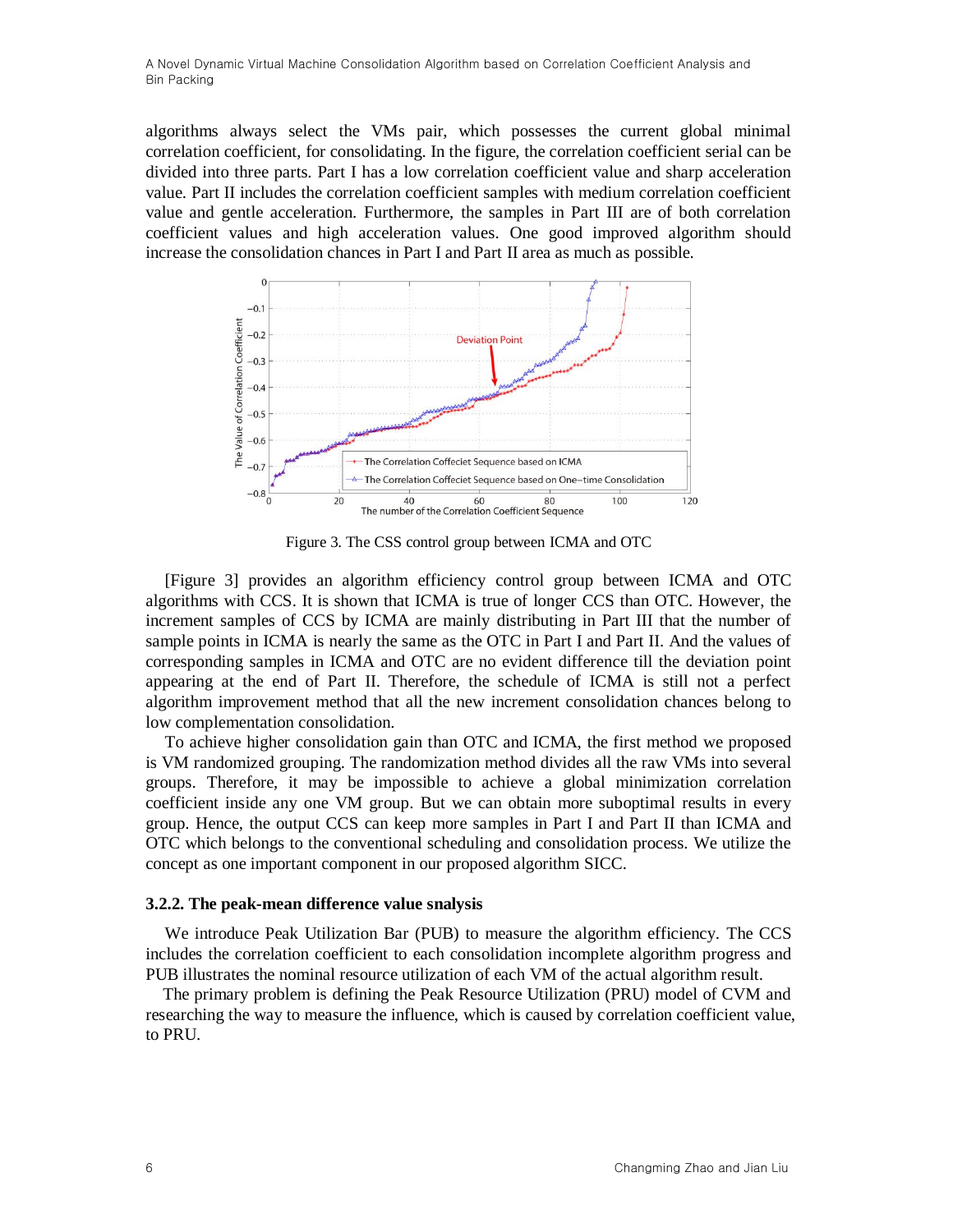algorithms always select the VMs pair, which possesses the current global minimal correlation coefficient, for consolidating. In the figure, the correlation coefficient serial can be divided into three parts. Part I has a low correlation coefficient value and sharp acceleration value. Part II includes the correlation coefficient samples with medium correlation coefficient value and gentle acceleration. Furthermore, the samples in Part III are of both correlation coefficient values and high acceleration values. One good improved algorithm should increase the consolidation chances in Part I and Part II area as much as possible.



Figure 3. The CSS control group between ICMA and OTC

[Figure 3] provides an algorithm efficiency control group between ICMA and OTC algorithms with CCS. It is shown that ICMA is true of longer CCS than OTC. However, the increment samples of CCS by ICMA are mainly distributing in Part III that the number of sample points in ICMA is nearly the same as the OTC in Part I and Part II. And the values of corresponding samples in ICMA and OTC are no evident difference till the deviation point appearing at the end of Part II. Therefore, the schedule of ICMA is still not a perfect algorithm improvement method that all the new increment consolidation chances belong to low complementation consolidation.

To achieve higher consolidation gain than OTC and ICMA, the first method we proposed is VM randomized grouping. The randomization method divides all the raw VMs into several groups. Therefore, it may be impossible to achieve a global minimization correlation coefficient inside any one VM group. But we can obtain more suboptimal results in every group. Hence, the output CCS can keep more samples in Part I and Part II than ICMA and OTC which belongs to the conventional scheduling and consolidation process. We utilize the concept as one important component in our proposed algorithm SICC.

#### **3.2.2. The peak-mean difference value snalysis**

We introduce Peak Utilization Bar (PUB) to measure the algorithm efficiency. The CCS includes the correlation coefficient to each consolidation incomplete algorithm progress and PUB illustrates the nominal resource utilization of each VM of the actual algorithm result.

The primary problem is defining the Peak Resource Utilization (PRU) model of CVM and researching the way to measure the influence, which is caused by correlation coefficient value, to PRU.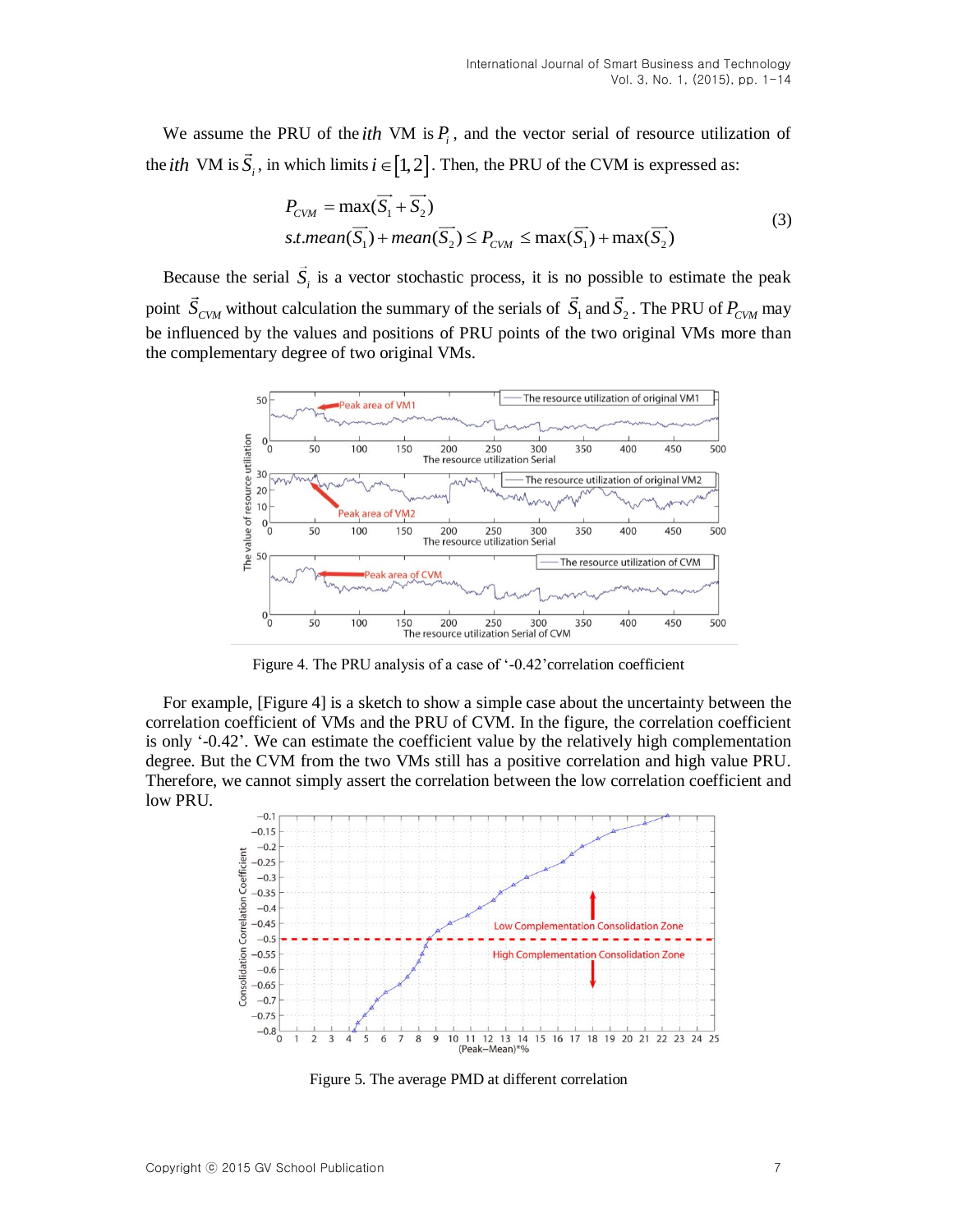We assume the PRU of the *ith* VM is  $P_i$ , and the vector serial of resource utilization of the *ith* VM is  $\vec{S}_i$ , in which limits  $i \in [1,2]$ . Then, the PRU of the CVM is expressed as:

$$
P_{CVM} = \max(\overrightarrow{S_1} + \overrightarrow{S_2})
$$
  
s.t. mean( $\overrightarrow{S_1}$ ) + mean( $\overrightarrow{S_2}$ )  $\leq P_{CVM} \leq \max(\overrightarrow{S_1}) + \max(\overrightarrow{S_2})$  (3)

Because the serial  $S_i$  is a vector stochastic process, it is no possible to estimate the peak point  $S_{CVM}$  without calculation the summary of the serials of  $S_1$  and  $S_2$ . The PRU of  $P_{CVM}$  may be influenced by the values and positions of PRU points of the two original VMs more than the complementary degree of two original VMs.



Figure 4. The PRU analysis of a case of '-0.42'correlation coefficient

For example, [Figure 4] is a sketch to show a simple case about the uncertainty between the correlation coefficient of VMs and the PRU of CVM. In the figure, the correlation coefficient is only '-0.42'. We can estimate the coefficient value by the relatively high complementation degree. But the CVM from the two VMs still has a positive correlation and high value PRU. Therefore, we cannot simply assert the correlation between the low correlation coefficient and low PRU.



Figure 5. The average PMD at different correlation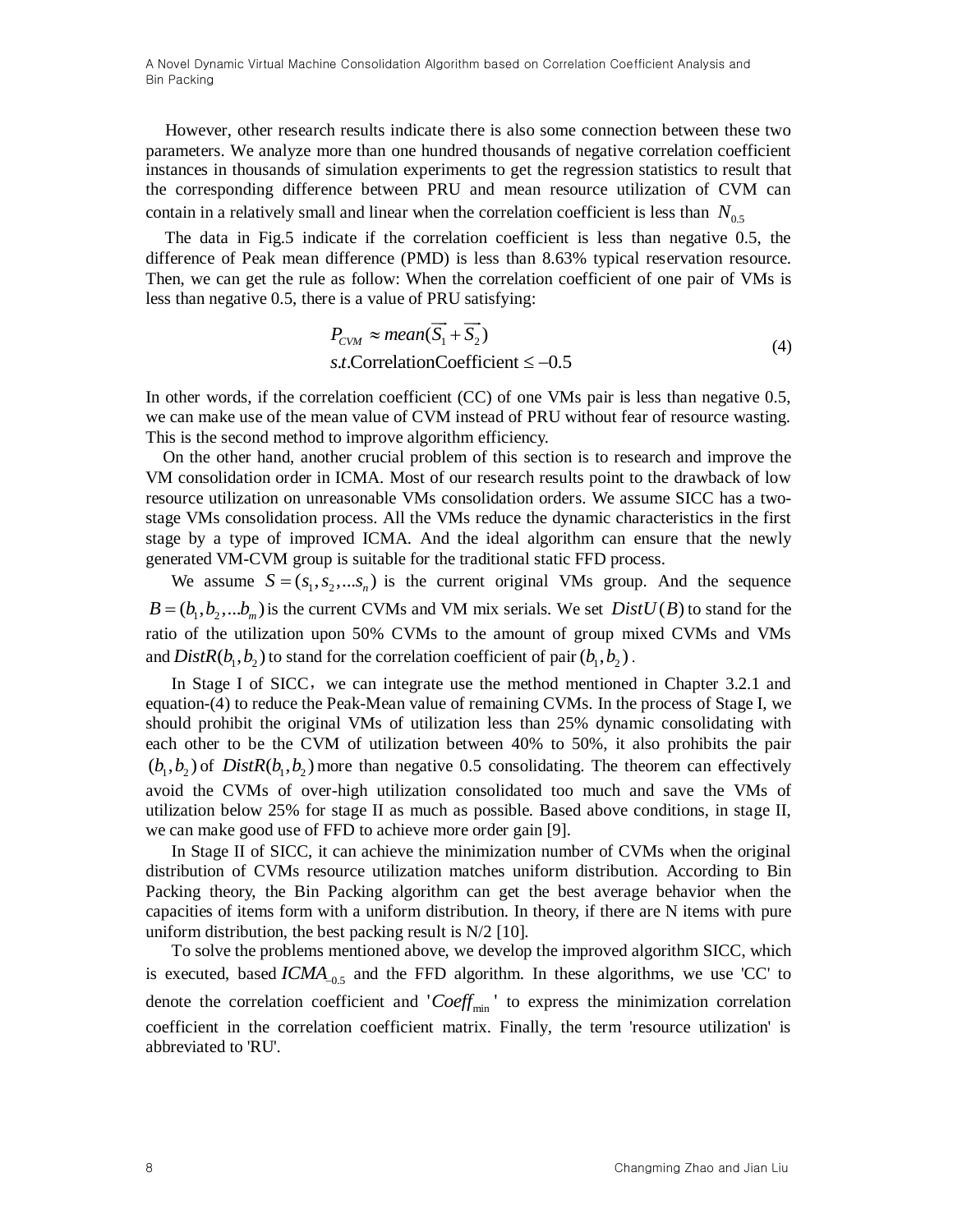However, other research results indicate there is also some connection between these two parameters. We analyze more than one hundred thousands of negative correlation coefficient instances in thousands of simulation experiments to get the regression statistics to result that the corresponding difference between PRU and mean resource utilization of CVM can contain in a relatively small and linear when the correlation coefficient is less than *N*0.5

The data in Fig.5 indicate if the correlation coefficient is less than negative 0.5, the difference of Peak mean difference (PMD) is less than 8.63% typical reservation resource. Then, we can get the rule as follow: When the correlation coefficient of one pair of VMs is less than negative 0.5, there is a value of PRU satisfying:

$$
P_{CVM} \approx mean(\overrightarrow{S_1} + \overrightarrow{S_2})
$$
  
s.t. CorrelationCoefficient  $\le -0.5$  (4)

In other words, if the correlation coefficient (CC) of one VMs pair is less than negative 0.5, we can make use of the mean value of CVM instead of PRU without fear of resource wasting. This is the second method to improve algorithm efficiency.

On the other hand, another crucial problem of this section is to research and improve the VM consolidation order in ICMA. Most of our research results point to the drawback of low resource utilization on unreasonable VMs consolidation orders. We assume SICC has a twostage VMs consolidation process. All the VMs reduce the dynamic characteristics in the first stage by a type of improved ICMA. And the ideal algorithm can ensure that the newly generated VM-CVM group is suitable for the traditional static FFD process.

We assume  $S = (s_1, s_2, \dots, s_n)$  is the current original VMs group. And the sequence  $B = (b_1, b_2, \ldots, b_m)$  is the current CVMs and VM mix serials. We set  $DistU(B)$  to stand for the ratio of the utilization upon 50% CVMs to the amount of group mixed CVMs and VMs and  $DistR(b_1, b_2)$  to stand for the correlation coefficient of pair  $(b_1, b_2)$ .

In Stage I of SICC, we can integrate use the method mentioned in Chapter 3.2.1 and equation-(4) to reduce the Peak-Mean value of remaining CVMs. In the process of Stage I, we should prohibit the original VMs of utilization less than 25% dynamic consolidating with each other to be the CVM of utilization between 40% to 50%, it also prohibits the pair  $(b_1, b_2)$  of  $Dist R(b_1, b_2)$  more than negative 0.5 consolidating. The theorem can effectively avoid the CVMs of over-high utilization consolidated too much and save the VMs of utilization below 25% for stage II as much as possible. Based above conditions, in stage II, we can make good use of FFD to achieve more order gain [\[9\].](#page-11-8)

In Stage II of SICC, it can achieve the minimization number of CVMs when the original distribution of CVMs resource utilization matches uniform distribution. According to Bin Packing theory, the Bin Packing algorithm can get the best average behavior when the capacities of items form with a uniform distribution. In theory, if there are N items with pure uniform distribution, the best packing result is  $N/2$  [\[10\].](#page-11-9)

To solve the problems mentioned above, we develop the improved algorithm SICC, which is executed, based  $ICMA_{-0.5}$  and the FFD algorithm. In these algorithms, we use 'CC' to denote the correlation coefficient and ' $Coeff_{min}$ ' to express the minimization correlation coefficient in the correlation coefficient matrix. Finally, the term 'resource utilization' is abbreviated to 'RU'.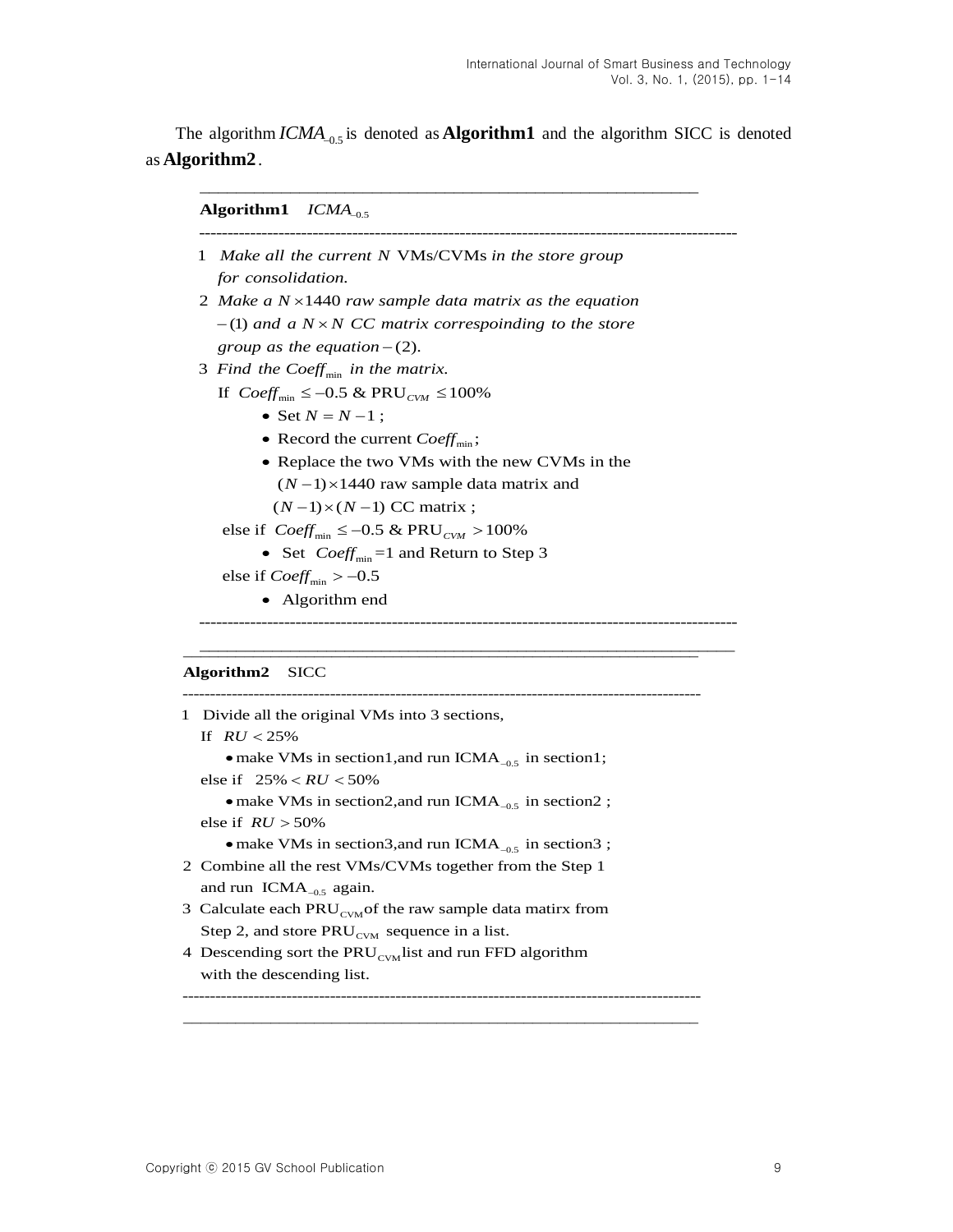The algorithm  $ICMA_{-0.5}$  is denoted as **Algorithm1** and the algorithm SICC is denoted as **Algorithm2**.

### $\boldsymbol{A}$ lgorithm $\boldsymbol{1}$   $ICMA_{-0.5}$

- -----------------------------------------------------------------------------------------------1 Make all the current N VMs/CVMs in the store group . *for consolidation*
- 2 Make a N × 1440 raw sample data matrix as the equation  $-$ (1) and a  $N \times N$  CC matrix correspoinding to the store *group as the equation*  $-(2)$ .
- 3 Find the Coeff<sub>min</sub> in the matrix.

If  $Coeff_{min} \le -0.5 \& PRU_{CVM} \le 100\%$ 

- Set  $N = N 1$ ;
- Record the current  $Coeff_{min}$ ;
- Replace the two VMs with the new CVMs in the
	- $(N-1)$  × 1440 raw sample data matrix and

 $(N-1)\times(N-1)$  CC matrix ;

### else if  $Coeff_{min} \le -0.5 \& PRU_{CVM} > 100\%$

• Set  $Coeff_{min} =1$  and Return to Step 3

else if  $Coeff_{min} > -0.5$ 

• Algorithm end

-----------------------------------------------------------------------------------------------

#### Algorithm2 SICC

| 1 Divide all the original VMs into 3 sections,                         |
|------------------------------------------------------------------------|
| If $RU < 25\%$                                                         |
| • make VMs in section1, and run ICMA <sub>-0.5</sub> in section1;      |
| else if $25\% < RU < 50\%$                                             |
| • make VMs in section 2, and run ICMA <sub>-0.5</sub> in section 2;    |
| else if $RU > 50\%$                                                    |
| • make VMs in section3, and run ICMA <sub>-0.5</sub> in section3;      |
| 2 Combine all the rest VMs/CVMs together from the Step 1               |
| and run $ICMA_{-0.5}$ again.                                           |
| 3 Calculate each PRU <sub>CVM</sub> of the raw sample data matirx from |
| Step 2, and store $PRU_{CVM}$ sequence in a list.                      |
| 4 Descending sort the $PRU_{\text{c}vM}$ list and run FFD algorithm    |
| with the descending list.                                              |
|                                                                        |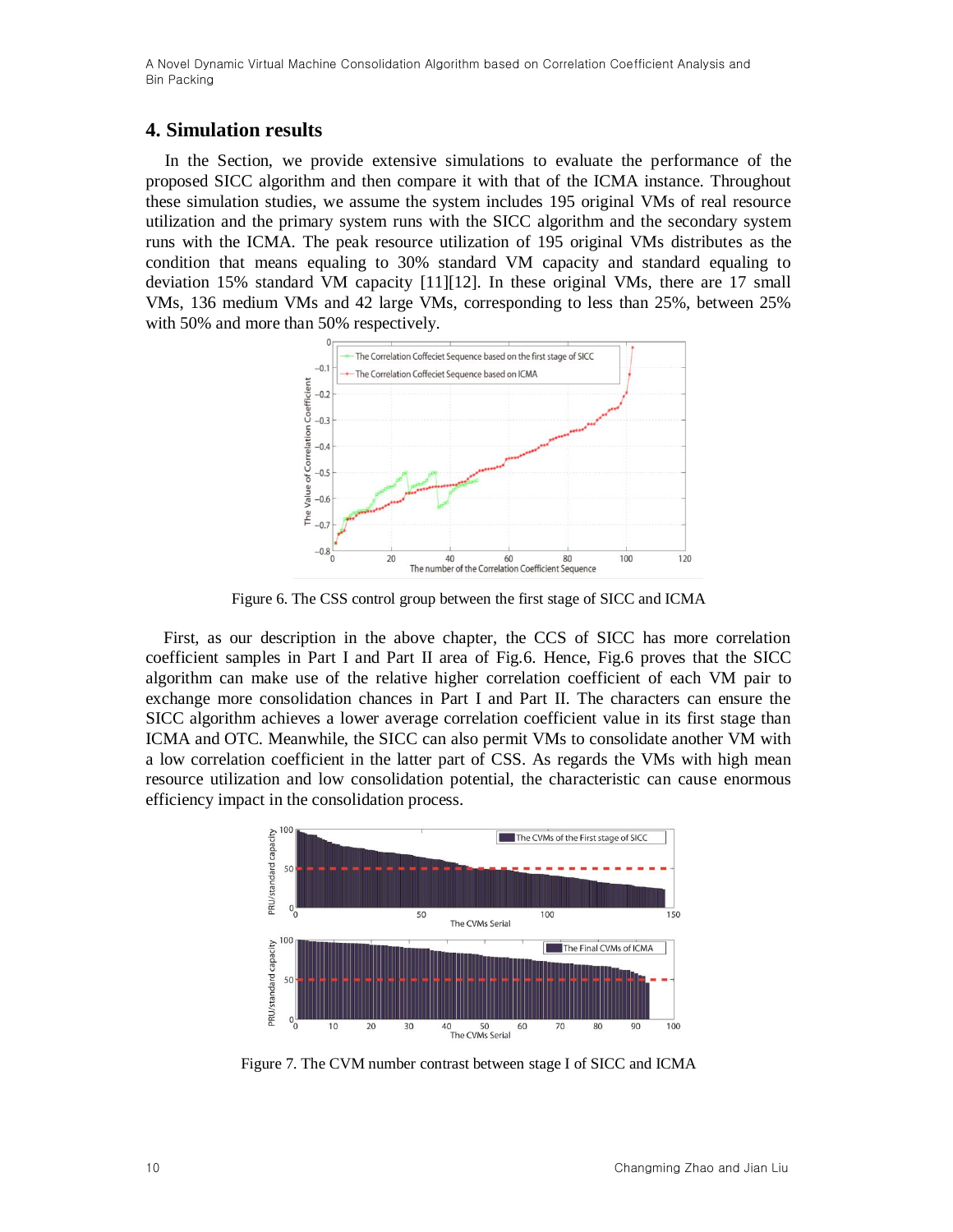## **4. Simulation results**

In the Section, we provide extensive simulations to evaluate the performance of the proposed SICC algorithm and then compare it with that of the ICMA instance. Throughout these simulation studies, we assume the system includes 195 original VMs of real resource utilization and the primary system runs with the SICC algorithm and the secondary system runs with the ICMA. The peak resource utilization of 195 original VMs distributes as the condition that means equaling to 30% standard VM capacity and standard equaling to deviation 15% standard VM capacity [\[11\]\[12\].](#page-11-10) In these original VMs, there are 17 small VMs, 136 medium VMs and 42 large VMs, corresponding to less than 25%, between 25% with 50% and more than 50% respectively.



Figure 6. The CSS control group between the first stage of SICC and ICMA

First, as our description in the above chapter, the CCS of SICC has more correlation coefficient samples in Part I and Part II area of Fig.6. Hence, Fig.6 proves that the SICC algorithm can make use of the relative higher correlation coefficient of each VM pair to exchange more consolidation chances in Part I and Part II. The characters can ensure the SICC algorithm achieves a lower average correlation coefficient value in its first stage than ICMA and OTC. Meanwhile, the SICC can also permit VMs to consolidate another VM with a low correlation coefficient in the latter part of CSS. As regards the VMs with high mean resource utilization and low consolidation potential, the characteristic can cause enormous efficiency impact in the consolidation process.



Figure 7. The CVM number contrast between stage I of SICC and ICMA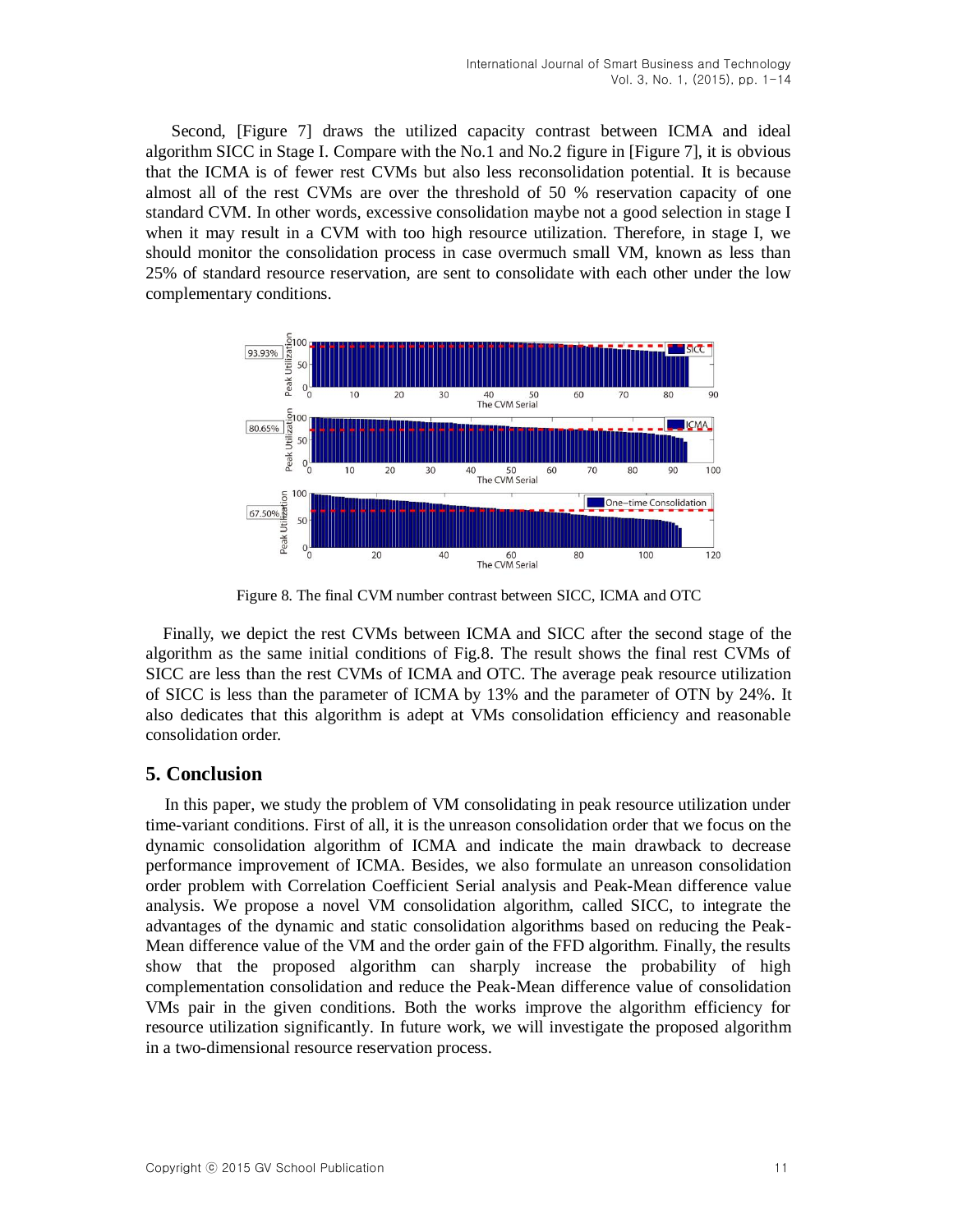Second, [Figure 7] draws the utilized capacity contrast between ICMA and ideal algorithm SICC in Stage I. Compare with the No.1 and No.2 figure in [Figure 7], it is obvious that the ICMA is of fewer rest CVMs but also less reconsolidation potential. It is because almost all of the rest CVMs are over the threshold of 50 % reservation capacity of one standard CVM. In other words, excessive consolidation maybe not a good selection in stage I when it may result in a CVM with too high resource utilization. Therefore, in stage I, we should monitor the consolidation process in case overmuch small VM, known as less than 25% of standard resource reservation, are sent to consolidate with each other under the low complementary conditions.



Figure 8. The final CVM number contrast between SICC, ICMA and OTC

Finally, we depict the rest CVMs between ICMA and SICC after the second stage of the algorithm as the same initial conditions of Fig.8. The result shows the final rest CVMs of SICC are less than the rest CVMs of ICMA and OTC. The average peak resource utilization of SICC is less than the parameter of ICMA by 13% and the parameter of OTN by 24%. It also dedicates that this algorithm is adept at VMs consolidation efficiency and reasonable consolidation order.

# **5. Conclusion**

In this paper, we study the problem of VM consolidating in peak resource utilization under time-variant conditions. First of all, it is the unreason consolidation order that we focus on the dynamic consolidation algorithm of ICMA and indicate the main drawback to decrease performance improvement of ICMA. Besides, we also formulate an unreason consolidation order problem with Correlation Coefficient Serial analysis and Peak-Mean difference value analysis. We propose a novel VM consolidation algorithm, called SICC, to integrate the advantages of the dynamic and static consolidation algorithms based on reducing the Peak-Mean difference value of the VM and the order gain of the FFD algorithm. Finally, the results show that the proposed algorithm can sharply increase the probability of high complementation consolidation and reduce the Peak-Mean difference value of consolidation VMs pair in the given conditions. Both the works improve the algorithm efficiency for resource utilization significantly. In future work, we will investigate the proposed algorithm in a two-dimensional resource reservation process.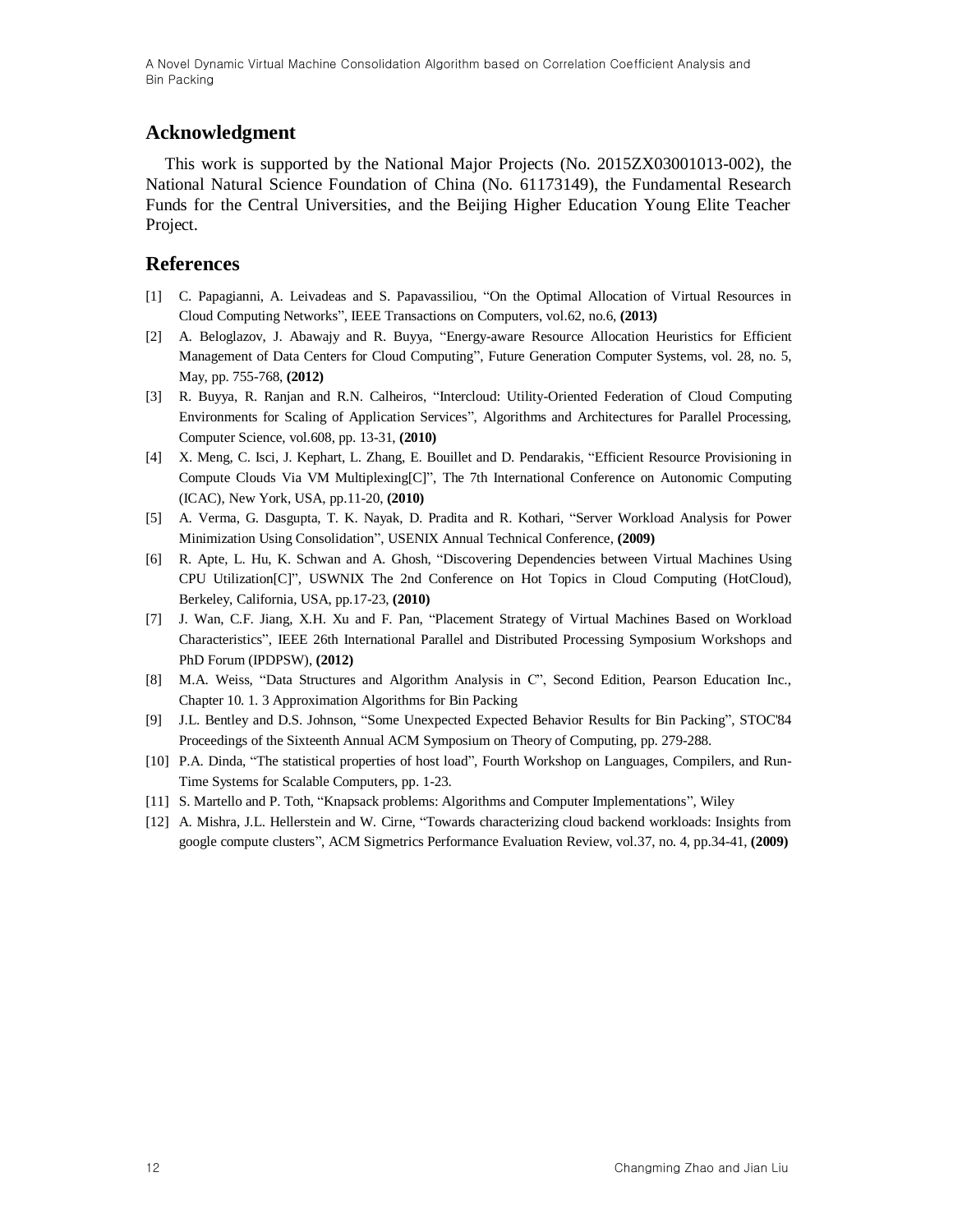# **Acknowledgment**

This work is supported by the National Major Projects (No. 2015ZX03001013-002), the National Natural Science Foundation of China (No. 61173149), the Fundamental Research Funds for the Central Universities, and the Beijing Higher Education Young Elite Teacher Project.

## **References**

- <span id="page-11-0"></span>[1] C. Papagianni, A. Leivadeas and S. Papavassiliou, "On the Optimal Allocation of Virtual Resources in Cloud Computing Networks", IEEE Transactions on Computers, vol.62, no.6, **(2013)**
- <span id="page-11-1"></span>[2] A. Beloglazov, J. Abawajy and R. Buyya, "Energy-aware Resource Allocation Heuristics for Efficient Management of Data Centers for Cloud Computing", Future Generation Computer Systems, vol. 28, no. 5, May, pp. 755-768, **(2012)**
- <span id="page-11-2"></span>[3] R. Buyya, R. Ranjan and R.N. Calheiros, "Intercloud: Utility-Oriented Federation of Cloud Computing Environments for Scaling of Application Services", Algorithms and Architectures for Parallel Processing, Computer Science, vol.608, pp. 13-31, **(2010)**
- <span id="page-11-3"></span>[4] X. Meng, C. Isci, J. Kephart, L. Zhang, E. Bouillet and D. Pendarakis, "Efficient Resource Provisioning in Compute Clouds Via VM Multiplexing[C]", The 7th International Conference on Autonomic Computing (ICAC), New York, USA, pp.11-20, **(2010)**
- <span id="page-11-4"></span>[5] A. Verma, G. Dasgupta, T. K. Nayak, D. Pradita and R. Kothari, "Server Workload Analysis for Power Minimization Using Consolidation", USENIX Annual Technical Conference, **(2009)**
- <span id="page-11-5"></span>[6] R. Apte, L. Hu, K. Schwan and A. Ghosh, "Discovering Dependencies between Virtual Machines Using CPU Utilization[C]", USWNIX The 2nd Conference on Hot Topics in Cloud Computing (HotCloud), Berkeley, California, USA, pp.17-23, **(2010)**
- <span id="page-11-6"></span>[7] J. Wan, C.F. Jiang, X.H. Xu and F. Pan, "Placement Strategy of Virtual Machines Based on Workload Characteristics", IEEE 26th International Parallel and Distributed Processing Symposium Workshops and PhD Forum (IPDPSW), **(2012)**
- <span id="page-11-7"></span>[8] M.A. Weiss, "Data Structures and Algorithm Analysis in C", Second Edition, Pearson Education Inc., Chapter 10. 1. 3 Approximation Algorithms for Bin Packing
- <span id="page-11-8"></span>[9] J.L. Bentley and D.S. Johnson, "Some Unexpected Expected Behavior Results for Bin Packing", STOC'84 Proceedings of the Sixteenth Annual ACM Symposium on Theory of Computing, pp. 279-288.
- <span id="page-11-9"></span>[10] P.A. Dinda, "The statistical properties of host load", Fourth Workshop on Languages, Compilers, and Run-Time Systems for Scalable Computers, pp. 1-23.
- <span id="page-11-10"></span>[11] S. Martello and P. Toth, "Knapsack problems: Algorithms and Computer Implementations", Wiley
- [12] A. Mishra, J.L. Hellerstein and W. Cirne, "Towards characterizing cloud backend workloads: Insights from google compute clusters", ACM Sigmetrics Performance Evaluation Review, vol.37, no. 4, pp.34-41, **(2009)**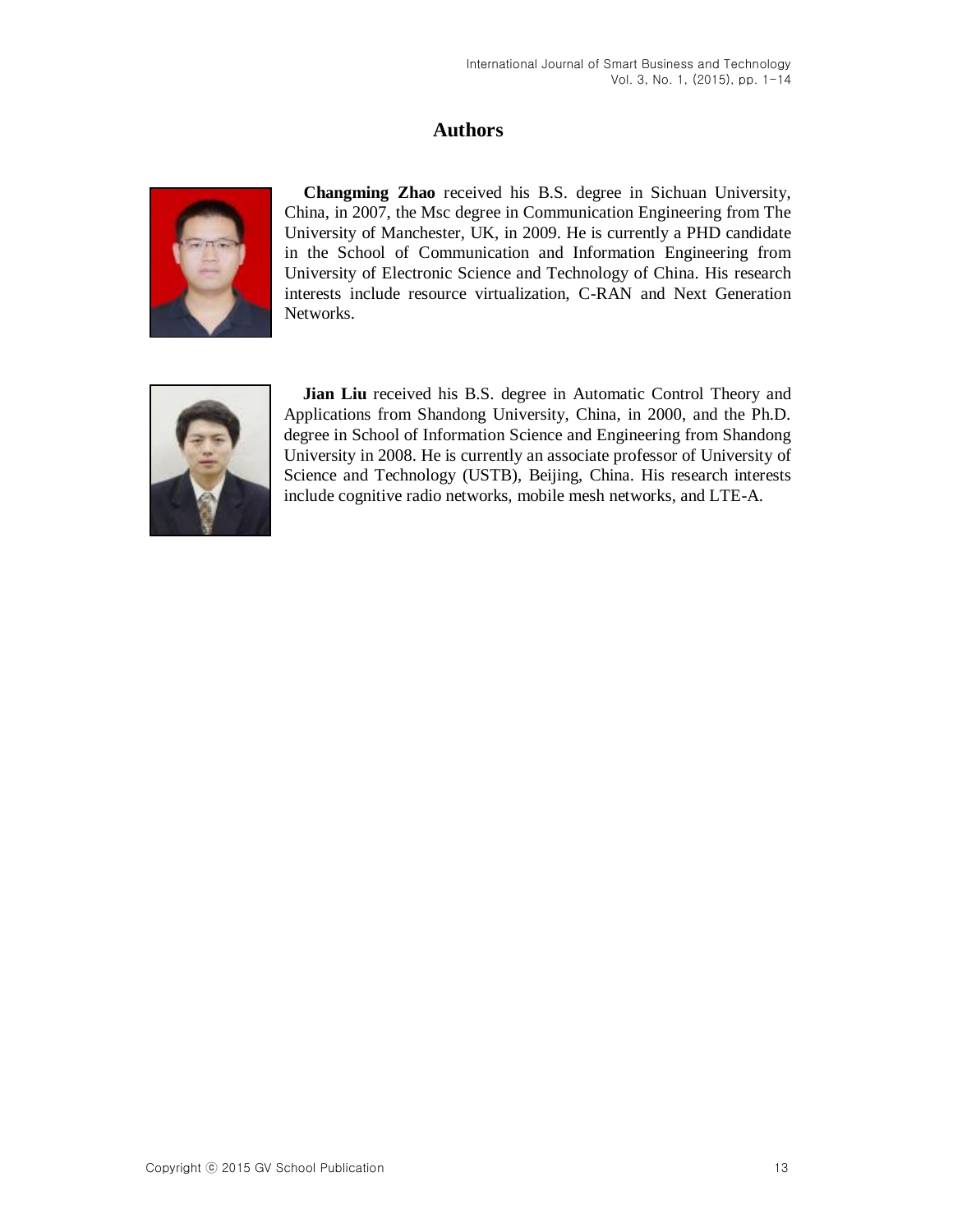# **Authors**



**Changming Zhao** received his B.S. degree in Sichuan University, China, in 2007, the Msc degree in Communication Engineering from The University of Manchester, UK, in 2009. He is currently a PHD candidate in the School of Communication and Information Engineering from University of Electronic Science and Technology of China. His research interests include resource virtualization, C-RAN and Next Generation Networks.



**Jian Liu** received his B.S. degree in Automatic Control Theory and Applications from Shandong University, China, in 2000, and the Ph.D. degree in School of Information Science and Engineering from Shandong University in 2008. He is currently an associate professor of University of Science and Technology (USTB), Beijing, China. His research interests include cognitive radio networks, mobile mesh networks, and LTE-A.